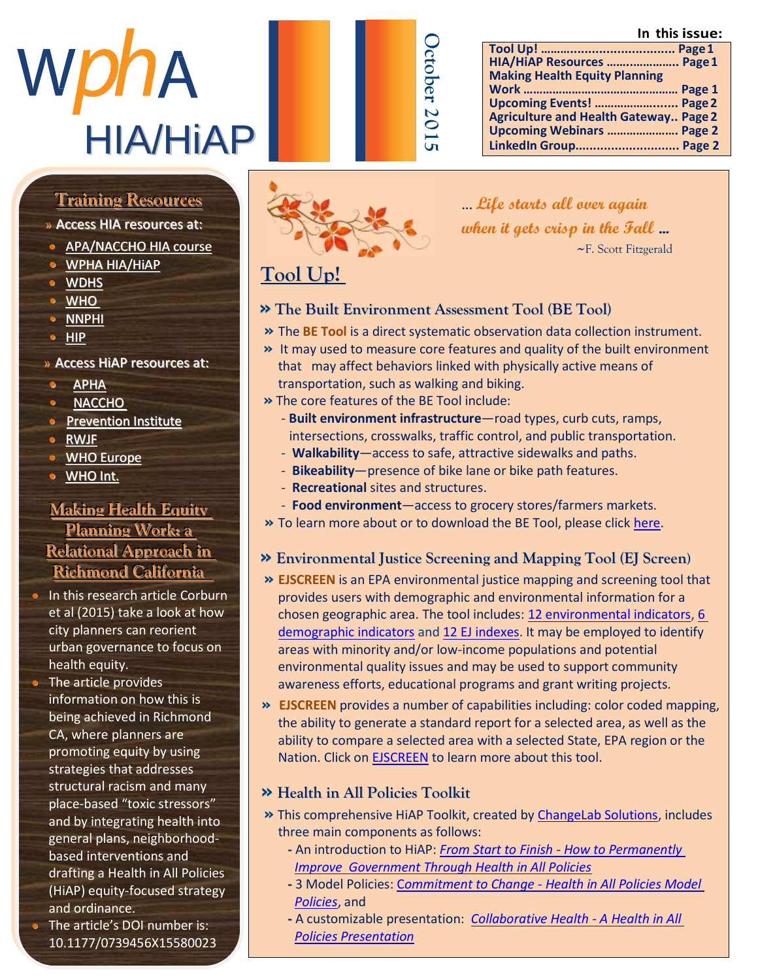**In this issue:**

| WDNA            |  |
|-----------------|--|
| <b>HIA/HIAP</b> |  |

| ⊂<br>٢<br>C<br>Ř |
|------------------|
| ι<br>ı           |

#### **Tool Up! ………............................. Page1 HIA/HiAP Resources ……..………….. Page1 Making Health Equity Planning Work ………………………………………… Page 1 Upcoming Events! ………………....... Page2 Agriculture and Health Gateway.. Page 2 Upcoming Webinars …………………. Page 2 LinkedIn Group............................. Page 2**

# Member Highlight Highlight Highlight <u>Training Resources</u>

» Access HIA resources at:<br>.

- **[APA/NACCHO](http://advance.captus.com/planning/hia2/home.aspx) HIA course**
- $\bullet$  WPHA HIA/HIAP
	- $\bullet$  WDHS
	- $\bullet$   $\overline{\text{WHO}}$ • [NNPHI](http://www.nnphi.org/program-areas/health-in-all-policies/health-impact-assessment/hia-resources-webinars-and-trainings) • 1
	- $\frac{m}{\text{HIP}}$
	- $\sim$   $\frac{m}{2}$ » Access HiAP resources at:
	- <u>[APHA](http://apha.org/topics-and-issues/healthy-communities/health-in-all-policies)</u>
	- <del>ALLIA</del><br>• [NACCHO](http://www.naccho.org/advocacy/positions/upload/12-01-health-in-all-policies.pdf)
	- $\frac{\text{m}}{\text{m}}$  is  $\frac{\text{m}}{\text{m}}$  $\bullet$  Prevention Institute
	- S E C T I O N A S W E L A S W E L A S W E L A S W E L A S W E L A S W E L A S W E L A S W E L A S W E L A S W
	- i n f [o r m a t i o n o](http://www.euro.who.int/en/health-topics/health-determinants/social-determinants/policy/entry-points-for-addressing-socially-determined-health-inequities/health-in-all-policies-hiap) n H I A WHO Europe
	- o WHO Int.

#### **Making Health Equity h e Flanning Work:**  $\frac{1}{\sum_{i=1}^{n} x_i}$ **<u>Relational Approach in</u></u> Richmond California**

- $\bullet$  In this research article Corburn et al (2015) take a look at how et all (2010) take a rook at etty planners can reon. urban governance to focus on<br>health equity health equity.
- $H_{\rm E}$  e article was defined as  $T_{\rm E}$  . • The article provides information on how this is being achieved in Richmond CA, where planners are promoting equity by using strategies that addresses structural racism and many place-based "toxic stressors" and by integrating health into general plans, neighborhood- $\overline{\phantom{a}}$  based interventions and drafting a Health in All Policies (HiAP) equity-focused strategy and ordinance.
- and brumance.<br>• The article's DOI number is: 10.1177/0739456X15580023



#### ...**Life starts all over again when it gets crisp in the Fall ...** ~F. Scott Fitzgerald

## **Tool Up!**

- **» The Built Environment Assessment Tool (BE Tool)**
- **»** The **BE Tool** is a direct systematic observation data collection instrument.
- **»** It may used to measure core features and quality of the built environment that may affect behaviors linked with physically active means of transportation, such as walking and biking.
- **»** The core features of the BE Tool include:
	- **Built environment infrastructure**—road types, curb cuts, ramps, intersections, crosswalks, traffic control, and public transportation.
	- **Walkability**—access to safe, attractive sidewalks and paths.
	- **Bikeability**—presence of bike lane or bike path features.
	- **Recreational** sites and structures.
	- **Food environment**—access to grocery stores/farmers markets.
- **»** To learn more about or to download the BE Tool, please clic[k here.](http://www.cdc.gov/nccdphp/dch/built-environment-assessment/)
- **» Environmental Justice Screening and Mapping Tool (EJ Screen)**
- **» EJSCREEN** is an EPA environmental justice mapping and screening tool that provides users with demographic and environmental information for a chosen geographic area. The tool includes: [12 environmental indicators,](http://www2.epa.gov/ejscreen/overview-environmental-indicators-ejscreen) [6](http://www2.epa.gov/ejscreen/overview-demographic-indicators-ejscreen)  [demographic indicators](http://www2.epa.gov/ejscreen/overview-demographic-indicators-ejscreen) an[d 12 EJ indexes.](http://www2.epa.gov/ejscreen/environmental-justice-indexes-ejscreen) It may be employed to identify areas with minority and/or low-income populations and potential environmental quality issues and may be used to support community awareness efforts, educational programs and grant writing projects.
- **» EJSCREEN** provides a number of capabilities including: color coded mapping, the ability to generate a standard report for a selected area, as well as the ability to compare a selected area with a selected State, EPA region or the Nation. Click on [EJSCREEN](http://www2.epa.gov/ejscreen) to learn more about this tool.

## **» Health in All Policies Toolkit**

- **»** This comprehensive HiAP Toolkit, created by [ChangeLab Solutions,](http://www.changelabsolutions.org/) includes three main components as follows:
	- **-** An introduction to HiAP: *From Start to Finish - [How to Permanently](http://www.changelabsolutions.org/sites/default/files/From-Start-to-Finish_HIAP_Guide-FINAL-20150729_1.pdf)  Improve Government [Through Health in All Policies](http://www.changelabsolutions.org/sites/default/files/From-Start-to-Finish_HIAP_Guide-FINAL-20150729_1.pdf)*
	- **-** 3 Model Policies: C*ommitment to Change - [Health in All Policies Model](http://www.changelabsolutions.org/publications/HiAP_Model-Policies)  [Policies](http://www.changelabsolutions.org/publications/HiAP_Model-Policies)*, and
	- **-** A customizable presentation: *[Collaborative Health -](http://www.changelabsolutions.org/publications/HiAP_Collaborative-Health) A Health in All [Policies Presentation](http://www.changelabsolutions.org/publications/HiAP_Collaborative-Health)*